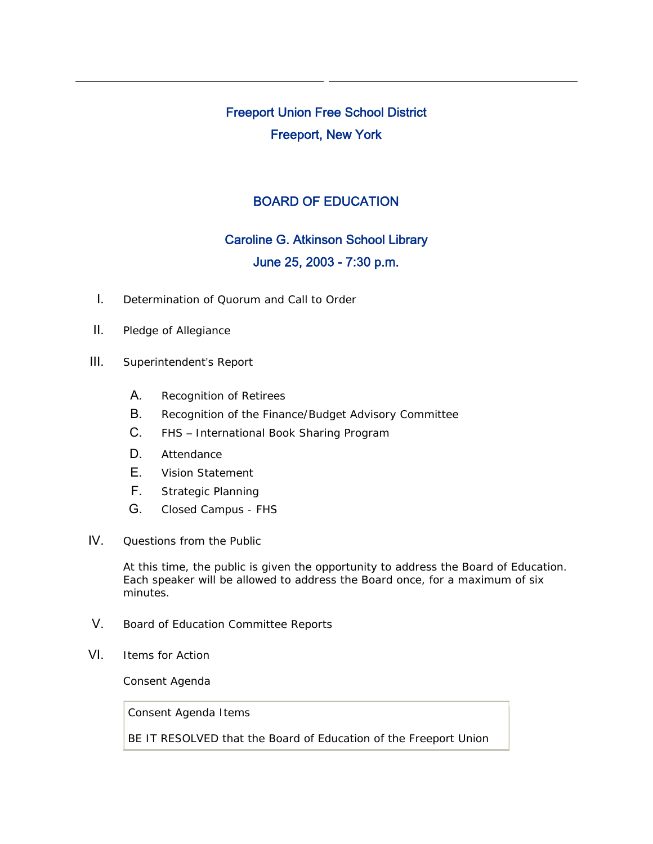# Freeport Union Free School District Freeport, New York

## BOARD OF EDUCATION

# Caroline G. Atkinson School Library June 25, 2003 - 7:30 p.m.

- I. Determination of Quorum and Call to Order
- II. Pledge of Allegiance
- III. Superintendent's Report
	- A. Recognition of Retirees
	- B. Recognition of the Finance/Budget Advisory Committee
	- C. FHS International Book Sharing Program
	- D. Attendance
	- E. Vision Statement
	- F. Strategic Planning
	- G. Closed Campus FHS
- IV. Questions from the Public

At this time, the public is given the opportunity to address the Board of Education. Each speaker will be allowed to address the Board once, for a maximum of six minutes.

- V. Board of Education Committee Reports
- VI. Items for Action

Consent Agenda

Consent Agenda Items

BE IT RESOLVED that the Board of Education of the Freeport Union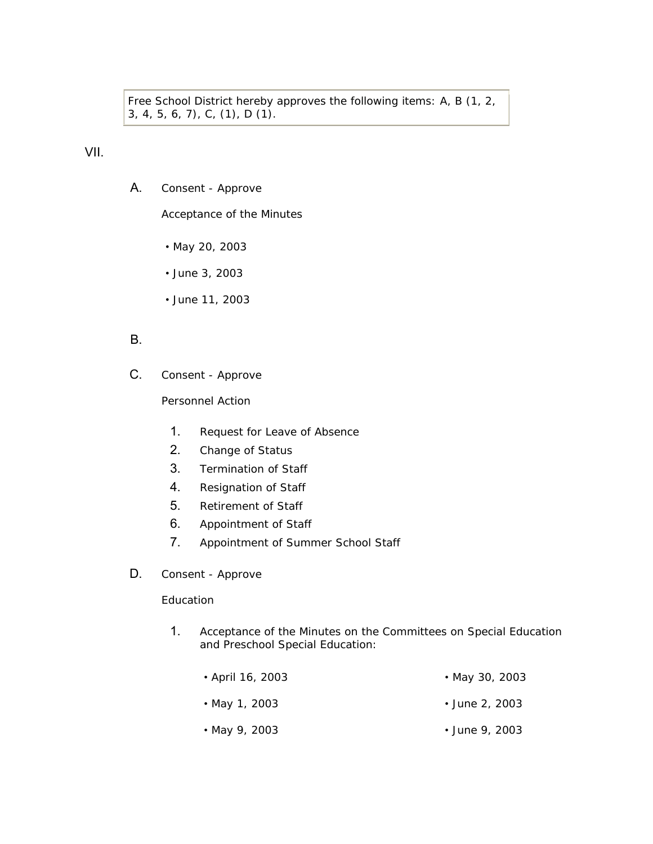Free School District hereby approves the following items: A, B (1, 2, 3, 4, 5, 6, 7), C, (1), D (1).

VII.

A. Consent - Approve

Acceptance of the Minutes

- May 20, 2003
- June 3, 2003
- June 11, 2003

### B.

C. Consent - Approve

Personnel Action

- 1. Request for Leave of Absence
- 2. Change of Status
- 3. Termination of Staff
- 4. Resignation of Staff
- 5. Retirement of Staff
- 6. Appointment of Staff
- 7. Appointment of Summer School Staff
- D. Consent Approve

#### **Education**

1. Acceptance of the Minutes on the Committees on Special Education and Preschool Special Education:

| • April 16, 2003 | • May 30, 2003 |
|------------------|----------------|
| • May 1, 2003    | • June 2, 2003 |
| • May 9, 2003    | • June 9, 2003 |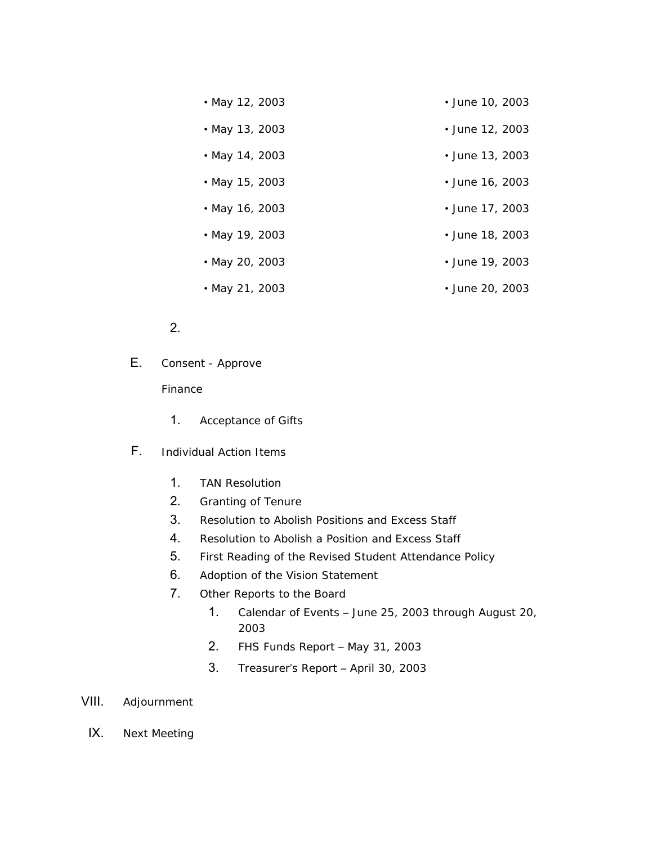| • May 12, 2003 | • June 10, 2003 |
|----------------|-----------------|
| • May 13, 2003 | • June 12, 2003 |
| • May 14, 2003 | • June 13, 2003 |
| • May 15, 2003 | • June 16, 2003 |
| • May 16, 2003 | • June 17, 2003 |
| • May 19, 2003 | • June 18, 2003 |
| • May 20, 2003 | • June 19, 2003 |
| • May 21, 2003 | • June 20, 2003 |

### 2.

E. Consent - Approve

#### Finance

- 1. Acceptance of Gifts
- F. Individual Action Items
	- 1. TAN Resolution
	- 2. Granting of Tenure
	- 3. Resolution to Abolish Positions and Excess Staff
	- 4. Resolution to Abolish a Position and Excess Staff
	- 5. First Reading of the Revised Student Attendance Policy
	- 6. Adoption of the Vision Statement
	- 7. Other Reports to the Board
		- 1. Calendar of Events June 25, 2003 through August 20, 2003
		- 2. FHS Funds Report May 31, 2003
		- 3. Treasurer's Report April 30, 2003
- VIII. Adjournment
	- IX. Next Meeting